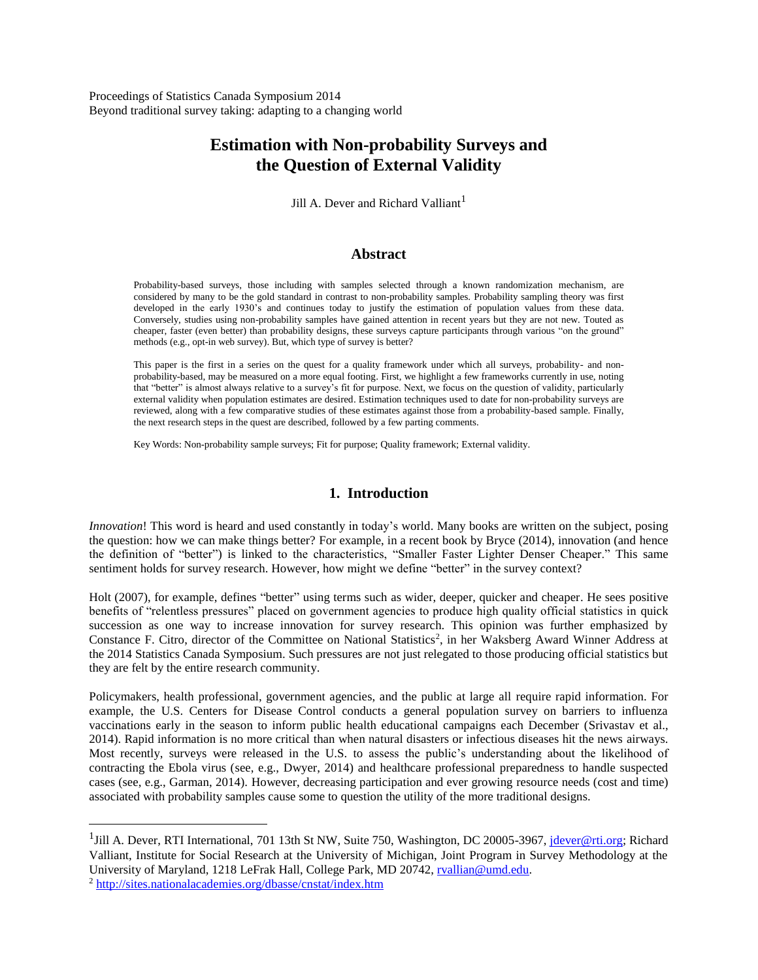Proceedings of Statistics Canada Symposium 2014 Beyond traditional survey taking: adapting to a changing world

# **Estimation with Non-probability Surveys and the Question of External Validity**

Jill A. Dever and Richard Valliant<sup>1</sup>

#### **Abstract**

Probability-based surveys, those including with samples selected through a known randomization mechanism, are considered by many to be the gold standard in contrast to non-probability samples. Probability sampling theory was first developed in the early 1930's and continues today to justify the estimation of population values from these data. Conversely, studies using non-probability samples have gained attention in recent years but they are not new. Touted as cheaper, faster (even better) than probability designs, these surveys capture participants through various "on the ground" methods (e.g., opt-in web survey). But, which type of survey is better?

This paper is the first in a series on the quest for a quality framework under which all surveys, probability- and nonprobability-based, may be measured on a more equal footing. First, we highlight a few frameworks currently in use, noting that "better" is almost always relative to a survey's fit for purpose. Next, we focus on the question of validity, particularly external validity when population estimates are desired. Estimation techniques used to date for non-probability surveys are reviewed, along with a few comparative studies of these estimates against those from a probability-based sample. Finally, the next research steps in the quest are described, followed by a few parting comments.

Key Words: Non-probability sample surveys; Fit for purpose; Quality framework; External validity.

### **1. Introduction**

*Innovation*! This word is heard and used constantly in today's world. Many books are written on the subject, posing the question: how we can make things better? For example, in a recent book by Bryce (2014), innovation (and hence the definition of "better") is linked to the characteristics, "Smaller Faster Lighter Denser Cheaper." This same sentiment holds for survey research. However, how might we define "better" in the survey context?

Holt (2007), for example, defines "better" using terms such as wider, deeper, quicker and cheaper. He sees positive benefits of "relentless pressures" placed on government agencies to produce high quality official statistics in quick succession as one way to increase innovation for survey research. This opinion was further emphasized by Constance F. Citro, director of the Committee on National Statistics<sup>2</sup>, in her Waksberg Award Winner Address at the 2014 Statistics Canada Symposium. Such pressures are not just relegated to those producing official statistics but they are felt by the entire research community.

Policymakers, health professional, government agencies, and the public at large all require rapid information. For example, the U.S. Centers for Disease Control conducts a general population survey on barriers to influenza vaccinations early in the season to inform public health educational campaigns each December (Srivastav et al., 2014). Rapid information is no more critical than when natural disasters or infectious diseases hit the news airways. Most recently, surveys were released in the U.S. to assess the public's understanding about the likelihood of contracting the Ebola virus (see, e.g., Dwyer, 2014) and healthcare professional preparedness to handle suspected cases (see, e.g., Garman, 2014). However, decreasing participation and ever growing resource needs (cost and time) associated with probability samples cause some to question the utility of the more traditional designs.

 $\overline{a}$ 

<sup>&</sup>lt;sup>1</sup>Jill A. Dever, RTI International, 701 13th St NW, Suite 750, Washington, DC 20005-3967, *jdever@rti.org*; Richard Valliant, Institute for Social Research at the University of Michigan, Joint Program in Survey Methodology at the University of Maryland, 1218 LeFrak Hall, College Park, MD 20742, [rvallian@umd.edu.](mailto:rvallian@umd.edu)

<sup>2</sup> <http://sites.nationalacademies.org/dbasse/cnstat/index.htm>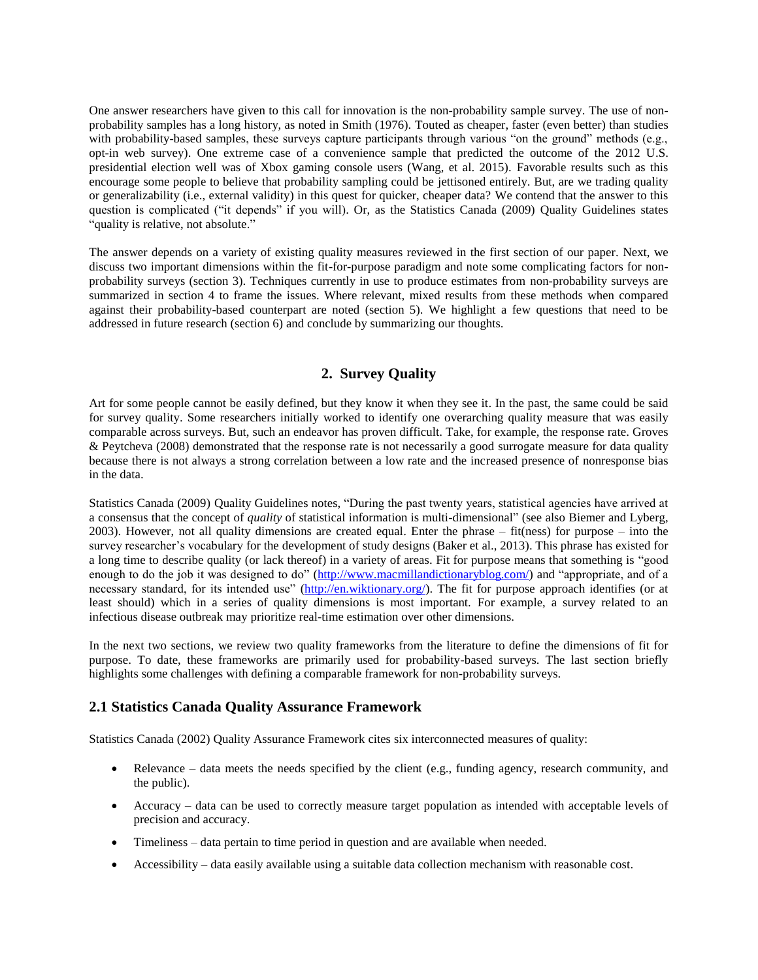One answer researchers have given to this call for innovation is the non-probability sample survey. The use of nonprobability samples has a long history, as noted in Smith (1976). Touted as cheaper, faster (even better) than studies with probability-based samples, these surveys capture participants through various "on the ground" methods (e.g., opt-in web survey). One extreme case of a convenience sample that predicted the outcome of the 2012 U.S. presidential election well was of Xbox gaming console users (Wang, et al. 2015). Favorable results such as this encourage some people to believe that probability sampling could be jettisoned entirely. But, are we trading quality or generalizability (i.e., external validity) in this quest for quicker, cheaper data? We contend that the answer to this question is complicated ("it depends" if you will). Or, as the Statistics Canada (2009) Quality Guidelines states "quality is relative, not absolute."

The answer depends on a variety of existing quality measures reviewed in the first section of our paper. Next, we discuss two important dimensions within the fit-for-purpose paradigm and note some complicating factors for nonprobability surveys (section 3). Techniques currently in use to produce estimates from non-probability surveys are summarized in section 4 to frame the issues. Where relevant, mixed results from these methods when compared against their probability-based counterpart are noted (section 5). We highlight a few questions that need to be addressed in future research (section 6) and conclude by summarizing our thoughts.

## **2. Survey Quality**

Art for some people cannot be easily defined, but they know it when they see it. In the past, the same could be said for survey quality. Some researchers initially worked to identify one overarching quality measure that was easily comparable across surveys. But, such an endeavor has proven difficult. Take, for example, the response rate. Groves & Peytcheva (2008) demonstrated that the response rate is not necessarily a good surrogate measure for data quality because there is not always a strong correlation between a low rate and the increased presence of nonresponse bias in the data.

Statistics Canada (2009) Quality Guidelines notes, "During the past twenty years, statistical agencies have arrived at a consensus that the concept of *quality* of statistical information is multi-dimensional" (see also Biemer and Lyberg, 2003). However, not all quality dimensions are created equal. Enter the phrase – fit(ness) for purpose – into the survey researcher's vocabulary for the development of study designs (Baker et al., 2013). This phrase has existed for a long time to describe quality (or lack thereof) in a variety of areas. Fit for purpose means that something is "good enough to do the job it was designed to do" [\(http://www.macmillandictionaryblog.com/\)](http://www.macmillandictionaryblog.com/) and "appropriate, and of a necessary standard, for its intended use" [\(http://en.wiktionary.org/\)](http://en.wiktionary.org/). The fit for purpose approach identifies (or at least should) which in a series of quality dimensions is most important. For example, a survey related to an infectious disease outbreak may prioritize real-time estimation over other dimensions.

In the next two sections, we review two quality frameworks from the literature to define the dimensions of fit for purpose. To date, these frameworks are primarily used for probability-based surveys. The last section briefly highlights some challenges with defining a comparable framework for non-probability surveys.

## **2.1 Statistics Canada Quality Assurance Framework**

Statistics Canada (2002) Quality Assurance Framework cites six interconnected measures of quality:

- Relevance data meets the needs specified by the client (e.g., funding agency, research community, and the public).
- Accuracy data can be used to correctly measure target population as intended with acceptable levels of precision and accuracy.
- Timeliness data pertain to time period in question and are available when needed.
- Accessibility data easily available using a suitable data collection mechanism with reasonable cost.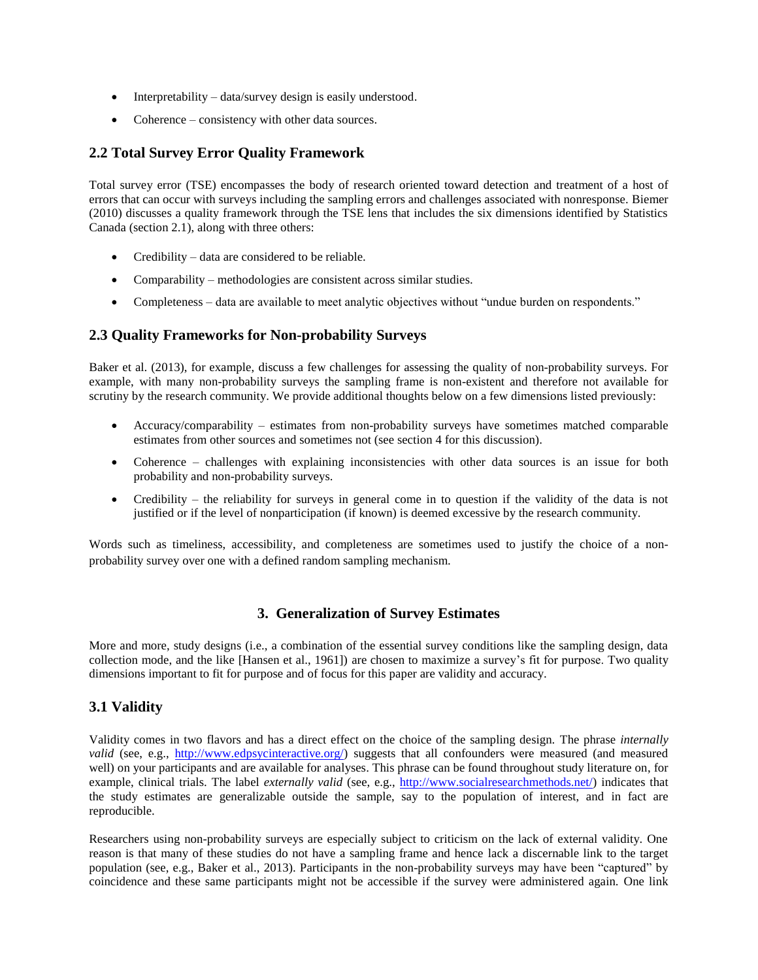- Interpretability data/survey design is easily understood.
- Coherence consistency with other data sources.

## **2.2 Total Survey Error Quality Framework**

Total survey error (TSE) encompasses the body of research oriented toward detection and treatment of a host of errors that can occur with surveys including the sampling errors and challenges associated with nonresponse. Biemer (2010) discusses a quality framework through the TSE lens that includes the six dimensions identified by Statistics Canada (section 2.1), along with three others:

- Credibility data are considered to be reliable.
- Comparability methodologies are consistent across similar studies.
- Completeness data are available to meet analytic objectives without "undue burden on respondents."

## **2.3 Quality Frameworks for Non-probability Surveys**

Baker et al. (2013), for example, discuss a few challenges for assessing the quality of non-probability surveys. For example, with many non-probability surveys the sampling frame is non-existent and therefore not available for scrutiny by the research community. We provide additional thoughts below on a few dimensions listed previously:

- Accuracy/comparability estimates from non-probability surveys have sometimes matched comparable estimates from other sources and sometimes not (see section 4 for this discussion).
- Coherence challenges with explaining inconsistencies with other data sources is an issue for both probability and non-probability surveys.
- Credibility the reliability for surveys in general come in to question if the validity of the data is not justified or if the level of nonparticipation (if known) is deemed excessive by the research community.

Words such as timeliness, accessibility, and completeness are sometimes used to justify the choice of a nonprobability survey over one with a defined random sampling mechanism.

## **3. Generalization of Survey Estimates**

More and more, study designs (i.e., a combination of the essential survey conditions like the sampling design, data collection mode, and the like [Hansen et al., 1961]) are chosen to maximize a survey's fit for purpose. Two quality dimensions important to fit for purpose and of focus for this paper are validity and accuracy.

## **3.1 Validity**

Validity comes in two flavors and has a direct effect on the choice of the sampling design. The phrase *internally valid* (see, e.g., [http://www.edpsycinteractive.org/\)](http://www.edpsycinteractive.org/) suggests that all confounders were measured (and measured well) on your participants and are available for analyses. This phrase can be found throughout study literature on, for example, clinical trials. The label *externally valid* (see, e.g., [http://www.socialresearchmethods.net/\)](http://www.socialresearchmethods.net/) indicates that the study estimates are generalizable outside the sample, say to the population of interest, and in fact are reproducible.

Researchers using non-probability surveys are especially subject to criticism on the lack of external validity. One reason is that many of these studies do not have a sampling frame and hence lack a discernable link to the target population (see, e.g., Baker et al., 2013). Participants in the non-probability surveys may have been "captured" by coincidence and these same participants might not be accessible if the survey were administered again. One link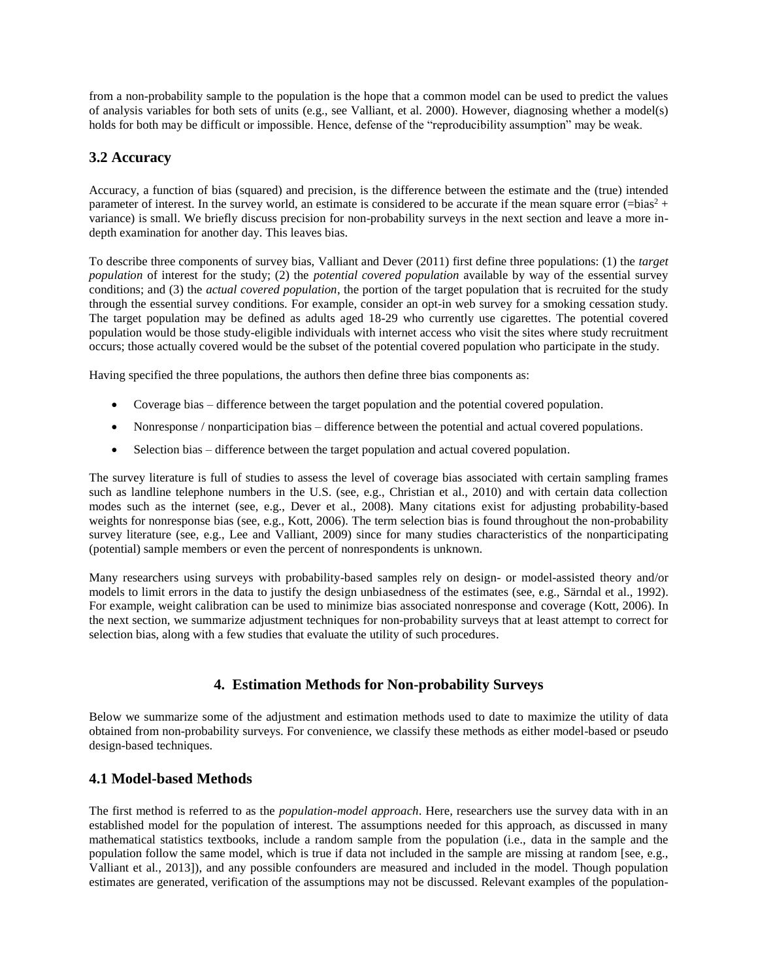from a non-probability sample to the population is the hope that a common model can be used to predict the values of analysis variables for both sets of units (e.g., see Valliant, et al. 2000). However, diagnosing whether a model(s) holds for both may be difficult or impossible. Hence, defense of the "reproducibility assumption" may be weak.

## **3.2 Accuracy**

Accuracy, a function of bias (squared) and precision, is the difference between the estimate and the (true) intended parameter of interest. In the survey world, an estimate is considered to be accurate if the mean square error  $(=\frac{1}{100})$ variance) is small. We briefly discuss precision for non-probability surveys in the next section and leave a more indepth examination for another day. This leaves bias.

To describe three components of survey bias, Valliant and Dever (2011) first define three populations: (1) the *target population* of interest for the study; (2) the *potential covered population* available by way of the essential survey conditions; and (3) the *actual covered population*, the portion of the target population that is recruited for the study through the essential survey conditions. For example, consider an opt-in web survey for a smoking cessation study. The target population may be defined as adults aged 18-29 who currently use cigarettes. The potential covered population would be those study-eligible individuals with internet access who visit the sites where study recruitment occurs; those actually covered would be the subset of the potential covered population who participate in the study.

Having specified the three populations, the authors then define three bias components as:

- Coverage bias difference between the target population and the potential covered population.
- Nonresponse / nonparticipation bias difference between the potential and actual covered populations.
- Selection bias difference between the target population and actual covered population.

The survey literature is full of studies to assess the level of coverage bias associated with certain sampling frames such as landline telephone numbers in the U.S. (see, e.g., Christian et al., 2010) and with certain data collection modes such as the internet (see, e.g., Dever et al., 2008). Many citations exist for adjusting probability-based weights for nonresponse bias (see, e.g., Kott, 2006). The term selection bias is found throughout the non-probability survey literature (see, e.g., Lee and Valliant, 2009) since for many studies characteristics of the nonparticipating (potential) sample members or even the percent of nonrespondents is unknown.

Many researchers using surveys with probability-based samples rely on design- or model-assisted theory and/or models to limit errors in the data to justify the design unbiasedness of the estimates (see, e.g., Särndal et al., 1992). For example, weight calibration can be used to minimize bias associated nonresponse and coverage (Kott, 2006). In the next section, we summarize adjustment techniques for non-probability surveys that at least attempt to correct for selection bias, along with a few studies that evaluate the utility of such procedures.

## **4. Estimation Methods for Non-probability Surveys**

Below we summarize some of the adjustment and estimation methods used to date to maximize the utility of data obtained from non-probability surveys. For convenience, we classify these methods as either model-based or pseudo design-based techniques.

## **4.1 Model-based Methods**

The first method is referred to as the *population-model approach*. Here, researchers use the survey data with in an established model for the population of interest. The assumptions needed for this approach, as discussed in many mathematical statistics textbooks, include a random sample from the population (i.e., data in the sample and the population follow the same model, which is true if data not included in the sample are missing at random [see, e.g., Valliant et al., 2013]), and any possible confounders are measured and included in the model. Though population estimates are generated, verification of the assumptions may not be discussed. Relevant examples of the population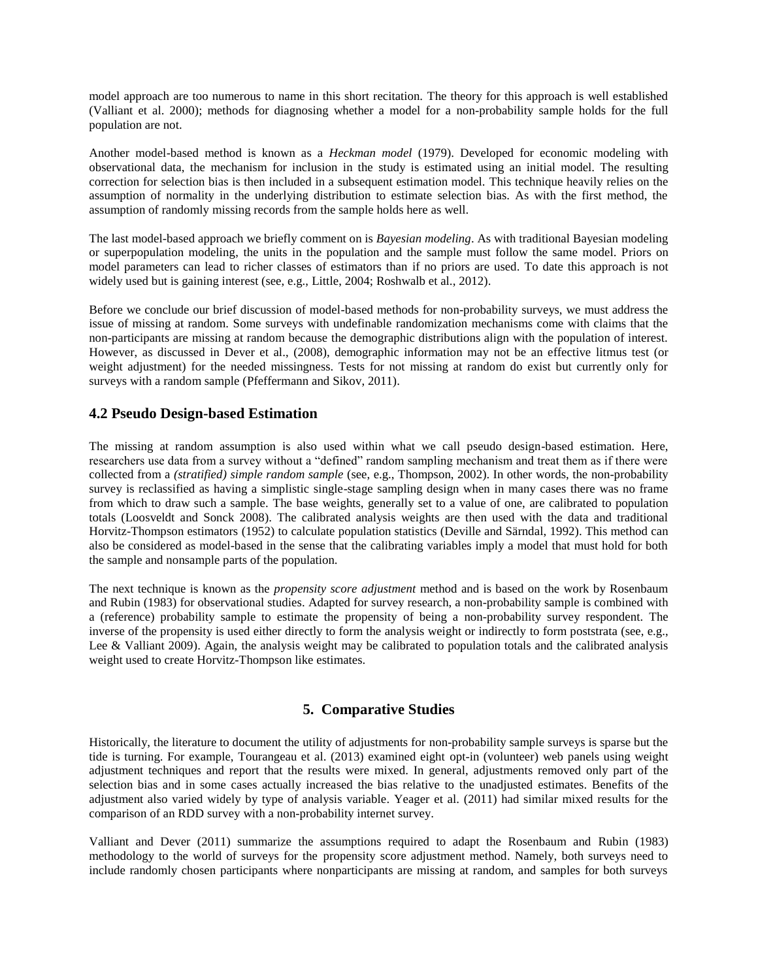model approach are too numerous to name in this short recitation. The theory for this approach is well established (Valliant et al. 2000); methods for diagnosing whether a model for a non-probability sample holds for the full population are not.

Another model-based method is known as a *Heckman model* (1979). Developed for economic modeling with observational data, the mechanism for inclusion in the study is estimated using an initial model. The resulting correction for selection bias is then included in a subsequent estimation model. This technique heavily relies on the assumption of normality in the underlying distribution to estimate selection bias. As with the first method, the assumption of randomly missing records from the sample holds here as well.

The last model-based approach we briefly comment on is *Bayesian modeling*. As with traditional Bayesian modeling or superpopulation modeling, the units in the population and the sample must follow the same model. Priors on model parameters can lead to richer classes of estimators than if no priors are used. To date this approach is not widely used but is gaining interest (see, e.g., Little, 2004; Roshwalb et al., 2012).

Before we conclude our brief discussion of model-based methods for non-probability surveys, we must address the issue of missing at random. Some surveys with undefinable randomization mechanisms come with claims that the non-participants are missing at random because the demographic distributions align with the population of interest. However, as discussed in Dever et al., (2008), demographic information may not be an effective litmus test (or weight adjustment) for the needed missingness. Tests for not missing at random do exist but currently only for surveys with a random sample (Pfeffermann and Sikov, 2011).

## **4.2 Pseudo Design-based Estimation**

The missing at random assumption is also used within what we call pseudo design-based estimation. Here, researchers use data from a survey without a "defined" random sampling mechanism and treat them as if there were collected from a *(stratified) simple random sample* (see, e.g., Thompson, 2002). In other words, the non-probability survey is reclassified as having a simplistic single-stage sampling design when in many cases there was no frame from which to draw such a sample. The base weights, generally set to a value of one, are calibrated to population totals (Loosveldt and Sonck 2008). The calibrated analysis weights are then used with the data and traditional Horvitz-Thompson estimators (1952) to calculate population statistics (Deville and Särndal, 1992). This method can also be considered as model-based in the sense that the calibrating variables imply a model that must hold for both the sample and nonsample parts of the population.

The next technique is known as the *propensity score adjustment* method and is based on the work by Rosenbaum and Rubin (1983) for observational studies. Adapted for survey research, a non-probability sample is combined with a (reference) probability sample to estimate the propensity of being a non-probability survey respondent. The inverse of the propensity is used either directly to form the analysis weight or indirectly to form poststrata (see, e.g., Lee & Valliant 2009). Again, the analysis weight may be calibrated to population totals and the calibrated analysis weight used to create Horvitz-Thompson like estimates.

## **5. Comparative Studies**

Historically, the literature to document the utility of adjustments for non-probability sample surveys is sparse but the tide is turning. For example, Tourangeau et al. (2013) examined eight opt-in (volunteer) web panels using weight adjustment techniques and report that the results were mixed. In general, adjustments removed only part of the selection bias and in some cases actually increased the bias relative to the unadjusted estimates. Benefits of the adjustment also varied widely by type of analysis variable. Yeager et al. (2011) had similar mixed results for the comparison of an RDD survey with a non-probability internet survey.

Valliant and Dever (2011) summarize the assumptions required to adapt the Rosenbaum and Rubin (1983) methodology to the world of surveys for the propensity score adjustment method. Namely, both surveys need to include randomly chosen participants where nonparticipants are missing at random, and samples for both surveys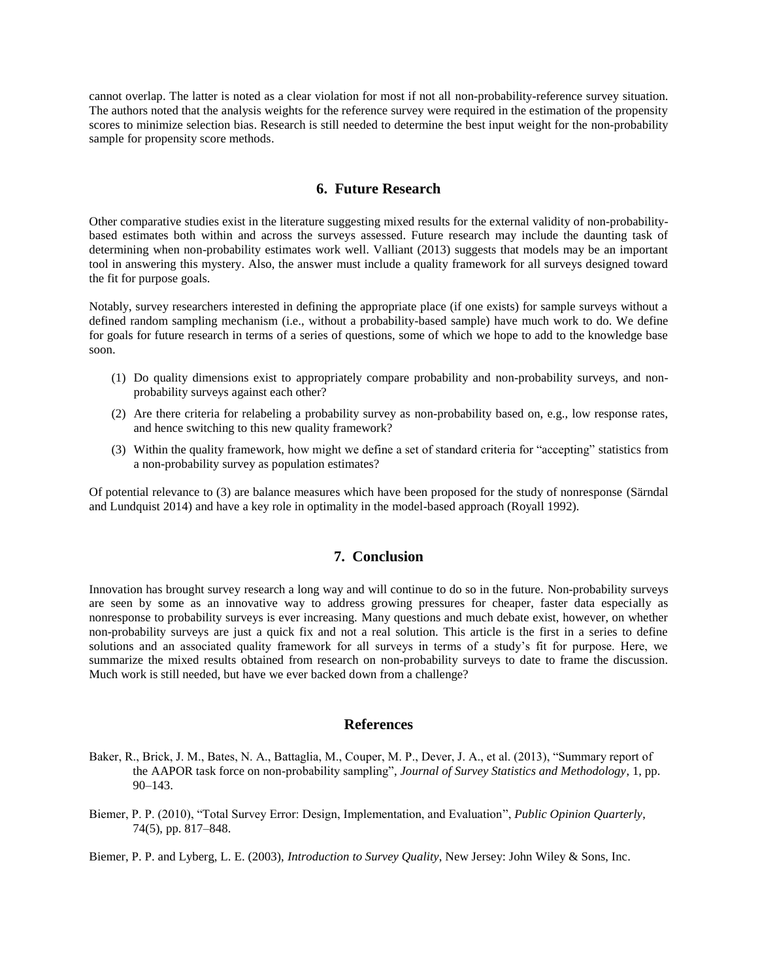cannot overlap. The latter is noted as a clear violation for most if not all non-probability-reference survey situation. The authors noted that the analysis weights for the reference survey were required in the estimation of the propensity scores to minimize selection bias. Research is still needed to determine the best input weight for the non-probability sample for propensity score methods.

#### **6. Future Research**

Other comparative studies exist in the literature suggesting mixed results for the external validity of non-probabilitybased estimates both within and across the surveys assessed. Future research may include the daunting task of determining when non-probability estimates work well. Valliant (2013) suggests that models may be an important tool in answering this mystery. Also, the answer must include a quality framework for all surveys designed toward the fit for purpose goals.

Notably, survey researchers interested in defining the appropriate place (if one exists) for sample surveys without a defined random sampling mechanism (i.e., without a probability-based sample) have much work to do. We define for goals for future research in terms of a series of questions, some of which we hope to add to the knowledge base soon.

- (1) Do quality dimensions exist to appropriately compare probability and non-probability surveys, and nonprobability surveys against each other?
- (2) Are there criteria for relabeling a probability survey as non-probability based on, e.g., low response rates, and hence switching to this new quality framework?
- (3) Within the quality framework, how might we define a set of standard criteria for "accepting" statistics from a non-probability survey as population estimates?

Of potential relevance to (3) are balance measures which have been proposed for the study of nonresponse (Särndal and Lundquist 2014) and have a key role in optimality in the model-based approach (Royall 1992).

#### **7. Conclusion**

Innovation has brought survey research a long way and will continue to do so in the future. Non-probability surveys are seen by some as an innovative way to address growing pressures for cheaper, faster data especially as nonresponse to probability surveys is ever increasing. Many questions and much debate exist, however, on whether non-probability surveys are just a quick fix and not a real solution. This article is the first in a series to define solutions and an associated quality framework for all surveys in terms of a study's fit for purpose. Here, we summarize the mixed results obtained from research on non-probability surveys to date to frame the discussion. Much work is still needed, but have we ever backed down from a challenge?

#### **References**

- Baker, R., Brick, J. M., Bates, N. A., Battaglia, M., Couper, M. P., Dever, J. A., et al. (2013), "Summary report of the AAPOR task force on non-probability sampling", *Journal of Survey Statistics and Methodology*, 1, pp. 90–143.
- Biemer, P. P. (2010), "Total Survey Error: Design, Implementation, and Evaluation", *Public Opinion Quarterly*, 74(5), pp. 817–848.

Biemer, P. P. and Lyberg, L. E. (2003), *Introduction to Survey Quality*, New Jersey: John Wiley & Sons, Inc.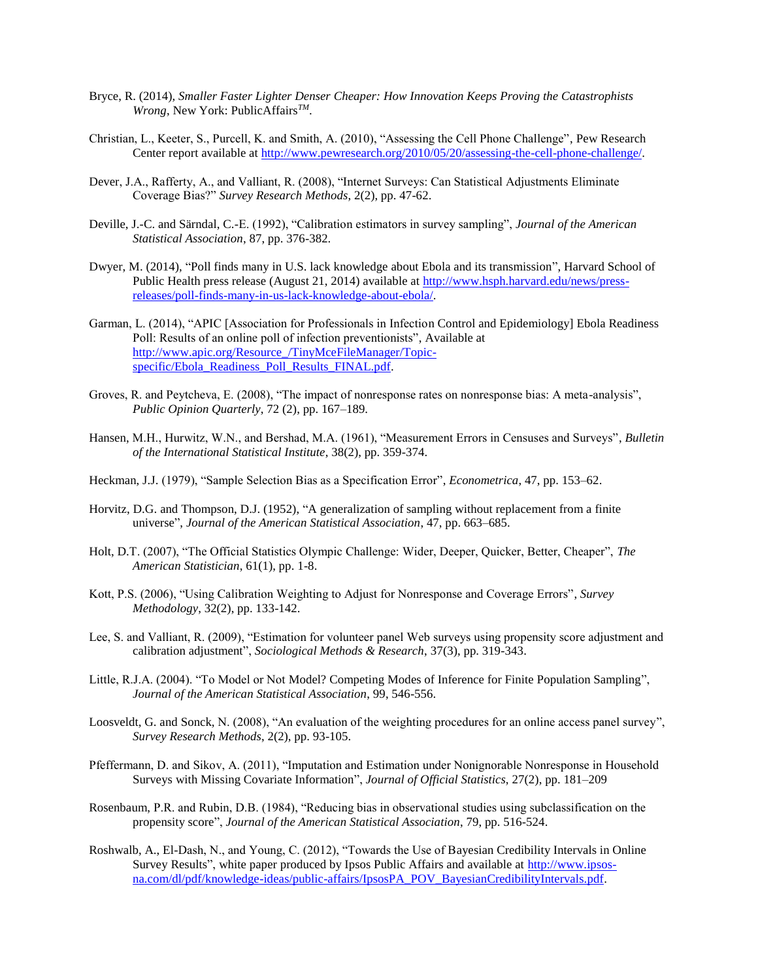- Bryce, R. (2014), *Smaller Faster Lighter Denser Cheaper: How Innovation Keeps Proving the Catastrophists Wrong*, New York: PublicAffairs*TM*.
- Christian, L., Keeter, S., Purcell, K. and Smith, A. (2010), "Assessing the Cell Phone Challenge", Pew Research Center report available at [http://www.pewresearch.org/2010/05/20/assessing-the-cell-phone-challenge/.](http://www.pewresearch.org/2010/05/20/assessing-the-cell-phone-challenge/)
- Dever, J.A., Rafferty, A., and Valliant, R. (2008), "Internet Surveys: Can Statistical Adjustments Eliminate Coverage Bias?" *Survey Research Methods*, 2(2), pp. 47-62.
- Deville, J.-C. and Särndal, C.-E. (1992), "Calibration estimators in survey sampling", *Journal of the American Statistical Association*, 87, pp. 376-382.
- Dwyer, M. (2014), "Poll finds many in U.S. lack knowledge about Ebola and its transmission", Harvard School of Public Health press release (August 21, 2014) available at [http://www.hsph.harvard.edu/news/press](http://www.hsph.harvard.edu/news/press-releases/poll-finds-many-in-us-lack-knowledge-about-ebola/)[releases/poll-finds-many-in-us-lack-knowledge-about-ebola/.](http://www.hsph.harvard.edu/news/press-releases/poll-finds-many-in-us-lack-knowledge-about-ebola/)
- Garman, L. (2014), "APIC [Association for Professionals in Infection Control and Epidemiology] Ebola Readiness Poll: Results of an online poll of infection preventionists", Available at [http://www.apic.org/Resource\\_/TinyMceFileManager/Topic](http://www.apic.org/Resource_/TinyMceFileManager/Topic-specific/Ebola_Readiness_Poll_Results_FINAL.pdf)[specific/Ebola\\_Readiness\\_Poll\\_Results\\_FINAL.pdf.](http://www.apic.org/Resource_/TinyMceFileManager/Topic-specific/Ebola_Readiness_Poll_Results_FINAL.pdf)
- Groves, R. and Peytcheva, E. (2008), "The impact of nonresponse rates on nonresponse bias: A meta-analysis", *Public Opinion Quarterly*, 72 (2), pp. 167–189.
- Hansen, M.H., Hurwitz, W.N., and Bershad, M.A. (1961), "Measurement Errors in Censuses and Surveys", *Bulletin of the International Statistical Institute*, 38(2), pp. 359-374.
- Heckman, J.J. (1979), "Sample Selection Bias as a Specification Error", *Econometrica*, 47, pp. 153–62.
- Horvitz, D.G. and Thompson, D.J. (1952), "A generalization of sampling without replacement from a finite universe", *Journal of the American Statistical Association*, 47, pp. 663–685.
- Holt, D.T. (2007), "The Official Statistics Olympic Challenge: Wider, Deeper, Quicker, Better, Cheaper", *The American Statistician*, 61(1), pp. 1-8.
- Kott, P.S. (2006), "Using Calibration Weighting to Adjust for Nonresponse and Coverage Errors", *Survey Methodology*, 32(2), pp. 133-142.
- Lee, S. and Valliant, R. (2009), "Estimation for volunteer panel Web surveys using propensity score adjustment and calibration adjustment", *Sociological Methods & Research*, 37(3), pp. 319-343.
- Little, R.J.A. (2004). "To Model or Not Model? Competing Modes of Inference for Finite Population Sampling", *Journal of the American Statistical Association*, 99, 546-556.
- Loosveldt, G. and Sonck, N. (2008), "An evaluation of the weighting procedures for an online access panel survey", *Survey Research Methods*, 2(2), pp. 93-105.
- Pfeffermann, D. and Sikov, A. (2011), "Imputation and Estimation under Nonignorable Nonresponse in Household Surveys with Missing Covariate Information", *Journal of Official Statistics*, 27(2), pp. 181–209
- Rosenbaum, P.R. and Rubin, D.B. (1984), "Reducing bias in observational studies using subclassification on the propensity score", *Journal of the American Statistical Association*, 79, pp. 516-524.
- Roshwalb, A., El-Dash, N., and Young, C. (2012), "Towards the Use of Bayesian Credibility Intervals in Online Survey Results", white paper produced by Ipsos Public Affairs and available at [http://www.ipsos](http://www.ipsos-na.com/dl/pdf/knowledge-ideas/public-affairs/IpsosPA_POV_BayesianCredibilityIntervals.pdf)[na.com/dl/pdf/knowledge-ideas/public-affairs/IpsosPA\\_POV\\_BayesianCredibilityIntervals.pdf.](http://www.ipsos-na.com/dl/pdf/knowledge-ideas/public-affairs/IpsosPA_POV_BayesianCredibilityIntervals.pdf)